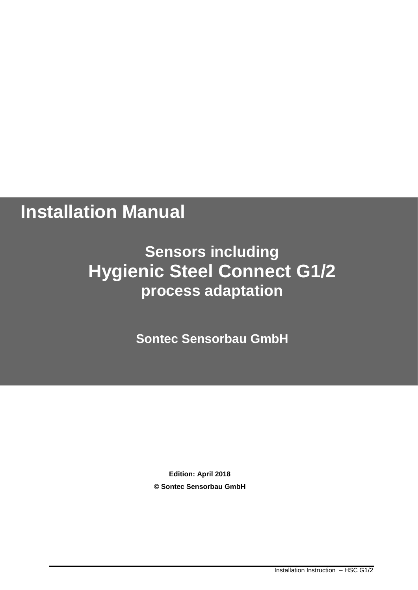# **Installation Manual**

## **Sensors including Hygienic Steel Connect G1/2 process adaptation**

**Sontec Sensorbau GmbH**

**Edition: April 2018 © Sontec Sensorbau GmbH**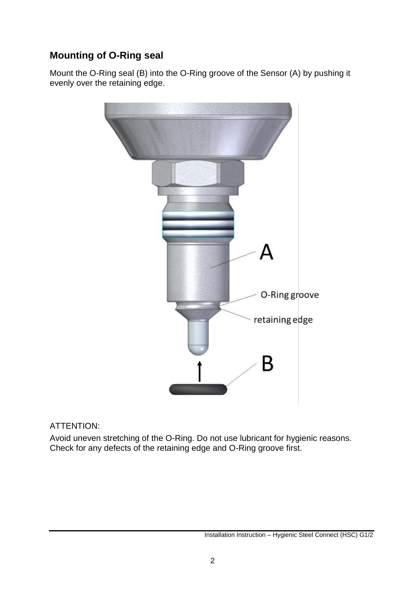## **Mounting of O-Ring seal**

Mount the O-Ring seal (B) into the O-Ring groove of the Sensor (A) by pushing it evenly over the retaining edge.



#### ATTENTION:

Avoid uneven stretching of the O-Ring. Do not use lubricant for hygienic reasons. Check for any defects of the retaining edge and O-Ring groove first.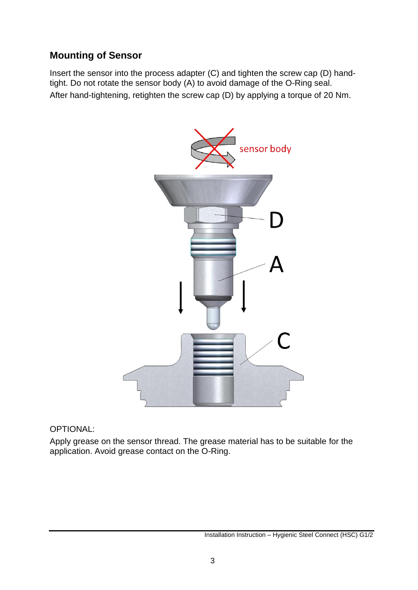## **Mounting of Sensor**

Insert the sensor into the process adapter (C) and tighten the screw cap (D) handtight. Do not rotate the sensor body (A) to avoid damage of the O-Ring seal. After hand-tightening, retighten the screw cap (D) by applying a torque of 20 Nm.



OPTIONAL:

Apply grease on the sensor thread. The grease material has to be suitable for the application. Avoid grease contact on the O-Ring.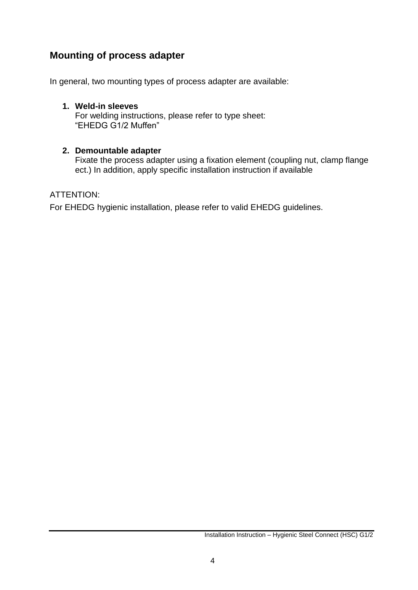## **Mounting of process adapter**

In general, two mounting types of process adapter are available:

### **1. Weld-in sleeves**

For welding instructions, please refer to type sheet: "EHEDG G1/2 Muffen"

#### **2. Demountable adapter**

Fixate the process adapter using a fixation element (coupling nut, clamp flange ect.) In addition, apply specific installation instruction if available

#### ATTENTION:

For EHEDG hygienic installation, please refer to valid EHEDG guidelines.